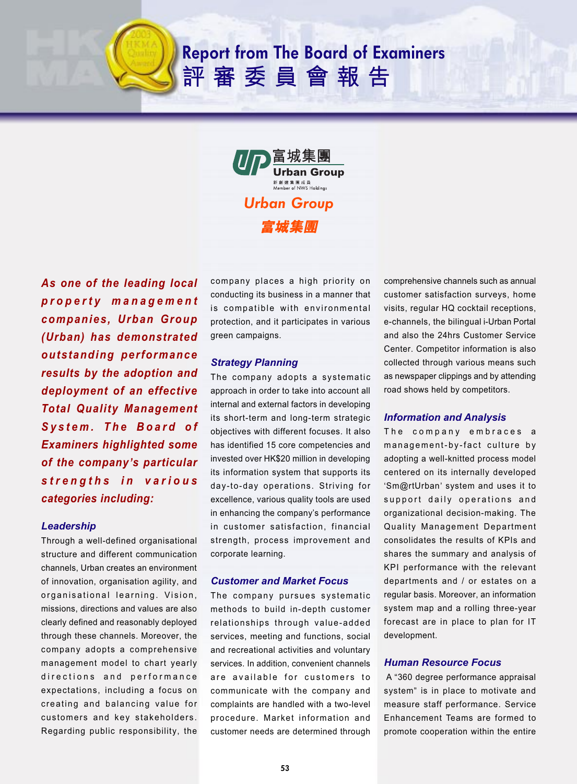# **Report from The Board of Examiners** 評審委員會報告



*As one of the leading local property management companies, Urban Group (Urban) has demonstrated outstanding performance results by the adoption and deployment of an effective Total Quality Management System. The Board of Examiners highlighted some of the company***'***s particular strengths in various categories including:*

## *Leadership*

Through a well-defined organisational structure and different communication channels, Urban creates an environment of innovation, organisation agility, and organisational learning. Vision, missions, directions and values are also clearly defined and reasonably deployed through these channels. Moreover, the company adopts a comprehensive management model to chart yearly directions and performance expectations, including a focus on creating and balancing value for customers and key stakeholders. Regarding public responsibility, the company places a high priority on conducting its business in a manner that is compatible with environmental protection, and it participates in various green campaigns.

#### *Strategy Planning*

The company adopts a systematic approach in order to take into account all internal and external factors in developing its short-term and long-term strategic objectives with different focuses. It also has identified 15 core competencies and invested over HK\$20 million in developing its information system that supports its day-to-day operations. Striving for excellence, various quality tools are used in enhancing the company's performance in customer satisfaction, financial strength, process improvement and corporate learning.

## *Customer and Market Focus*

The company pursues systematic methods to build in-depth customer relationships through value-added services, meeting and functions, social and recreational activities and voluntary services. In addition, convenient channels are available for customers to communicate with the company and complaints are handled with a two-level procedure. Market information and customer needs are determined through

comprehensive channels such as annual customer satisfaction surveys, home visits, regular HQ cocktail receptions, e-channels, the bilingual i-Urban Portal and also the 24hrs Customer Service Center. Competitor information is also collected through various means such as newspaper clippings and by attending road shows held by competitors.

## *Information and Analysis*

The company embraces a management-by-fact culture by adopting a well-knitted process model centered on its internally developed 'Sm@rtUrban' system and uses it to support daily operations and organizational decision-making. The Quality Management Department consolidates the results of KPIs and shares the summary and analysis of KPI performance with the relevant departments and / or estates on a regular basis. Moreover, an information system map and a rolling three-year forecast are in place to plan for IT development.

### *Human Resource Focus*

 A "360 degree performance appraisal system" is in place to motivate and measure staff performance. Service Enhancement Teams are formed to promote cooperation within the entire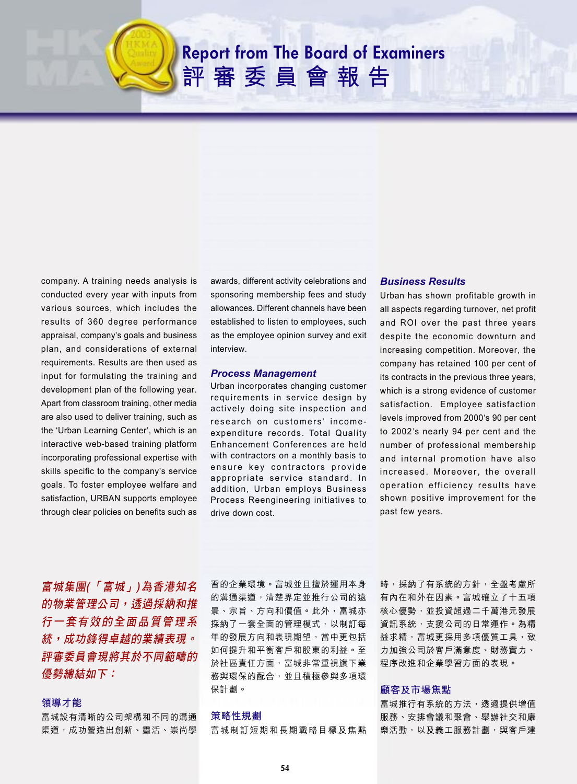# **Report from The Board of Examiners** 評審委員會報告

company. A training needs analysis is conducted every year with inputs from various sources, which includes the results of 360 degree performance appraisal, company's goals and business plan, and considerations of external requirements. Results are then used as input for formulating the training and development plan of the following year. Apart from classroom training, other media are also used to deliver training, such as the 'Urban Learning Center', which is an interactive web-based training platform incorporating professional expertise with skills specific to the company's service goals. To foster employee welfare and satisfaction, URBAN supports employee through clear policies on benefits such as

awards, different activity celebrations and sponsoring membership fees and study allowances. Different channels have been established to listen to employees, such as the employee opinion survey and exit interview.

#### *Process Management*

Urban incorporates changing customer requirements in service design by actively doing site inspection and research on customers' incomeexpenditure records. Total Quality Enhancement Conferences are held with contractors on a monthly basis to ensure key contractors provide appropriate service standard. In addition, Urban employs Business Process Reengineering initiatives to drive down cost.

## *Business Results*

Urban has shown profitable growth in all aspects regarding turnover, net profit and ROI over the past three years despite the economic downturn and increasing competition. Moreover, the company has retained 100 per cent of its contracts in the previous three years, which is a strong evidence of customer satisfaction. Employee satisfaction levels improved from 2000's 90 per cent to 2002's nearly 94 per cent and the number of professional membership and internal promotion have also increased. Moreover, the overall operation efficiency results have shown positive improvement for the past few years.

富城集團(「富城」)為香港知名 的物業管理公司,透過採納和推 行一套有效的全面品質管理系 統,成功錄得卓越的業績表現。 評審委員會現將其於不同範疇的 優勢總結如下:

#### 領導才能

富城設有清晰的公司架構和不同的溝通 渠道,成功營造出創新、靈活、崇尚學 習的企業環境。富城並且擅於運用本身 的溝通渠道,清楚界定並推行公司的遠 景、宗旨、方向和價值。此外,富城亦 採納了一套全面的管理模式,以制訂每 年的發展方向和表現期望,當中更包括 如何提升和平衡客戶和股東的利益。至 於社區責任方面,富城非常重視旗下業 務與環保的配合,並且積極參與多項環 保計劃。

#### 策略性規劃

富城制訂短期和長期戰略目標及焦點

時,採納了有系統的方針,全盤考慮所 有內在和外在因素。富城確立了十五項 核心優勢,並投資超過二千萬港元發展 資訊系統,支援公司的日常運作。為精 益求精,富城更採用多項優質工具,致 力加強公司於客戶滿意度、財務實力、 程序改進和企業學習方面的表現。

#### 顧客及市場焦點

富城推行有系統的方法,透過提供增值 服務、安排會議和聚會、舉辦社交和康 樂活動,以及義工服務計劃,與客戶建